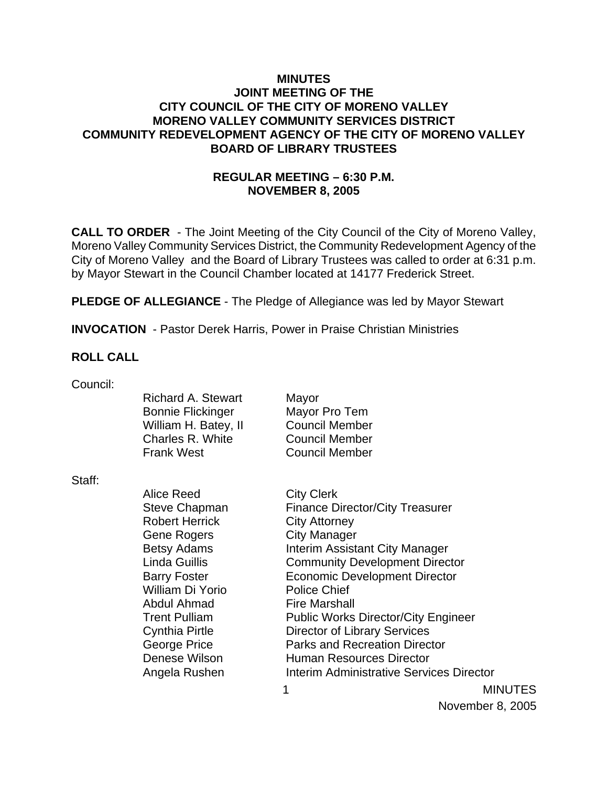### **MINUTES JOINT MEETING OF THE CITY COUNCIL OF THE CITY OF MORENO VALLEY MORENO VALLEY COMMUNITY SERVICES DISTRICT COMMUNITY REDEVELOPMENT AGENCY OF THE CITY OF MORENO VALLEY BOARD OF LIBRARY TRUSTEES**

## **REGULAR MEETING – 6:30 P.M. NOVEMBER 8, 2005**

**CALL TO ORDER** - The Joint Meeting of the City Council of the City of Moreno Valley, Moreno Valley Community Services District, the Community Redevelopment Agency of the City of Moreno Valley and the Board of Library Trustees was called to order at 6:31 p.m. by Mayor Stewart in the Council Chamber located at 14177 Frederick Street.

**PLEDGE OF ALLEGIANCE** - The Pledge of Allegiance was led by Mayor Stewart

**INVOCATION** - Pastor Derek Harris, Power in Praise Christian Ministries

### **ROLL CALL**

|                       | Mayor                                                                                                                  |
|-----------------------|------------------------------------------------------------------------------------------------------------------------|
|                       |                                                                                                                        |
|                       | Mayor Pro Tem                                                                                                          |
|                       | <b>Council Member</b>                                                                                                  |
|                       | <b>Council Member</b>                                                                                                  |
|                       | Council Member                                                                                                         |
|                       |                                                                                                                        |
| Alice Reed            | <b>City Clerk</b>                                                                                                      |
| <b>Steve Chapman</b>  | <b>Finance Director/</b>                                                                                               |
| <b>Robert Herrick</b> | <b>City Attorney</b>                                                                                                   |
| Gene Rogers           | City Manager                                                                                                           |
| <b>Betsy Adams</b>    | <b>Interim Assistant</b>                                                                                               |
| <b>Linda Guillis</b>  | <b>Community Deve</b>                                                                                                  |
| <b>Barry Foster</b>   | <b>Economic Develo</b>                                                                                                 |
| William Di Yorio      | <b>Police Chief</b>                                                                                                    |
|                       | <b>Richard A. Stewart</b><br><b>Bonnie Flickinger</b><br>William H. Batey, II<br>Charles R. White<br><b>Frank West</b> |

1 MINUTES r/City Treasurer It City Manager elopment Director **Iopment Director** Abdul Ahmad Fire Marshall Trent Pulliam Public Works Director/City Engineer Cynthia Pirtle Director of Library Services George Price **Parks and Recreation Director** Denese Wilson **Human Resources Director** Angela Rushen Interim Administrative Services Director

November 8, 2005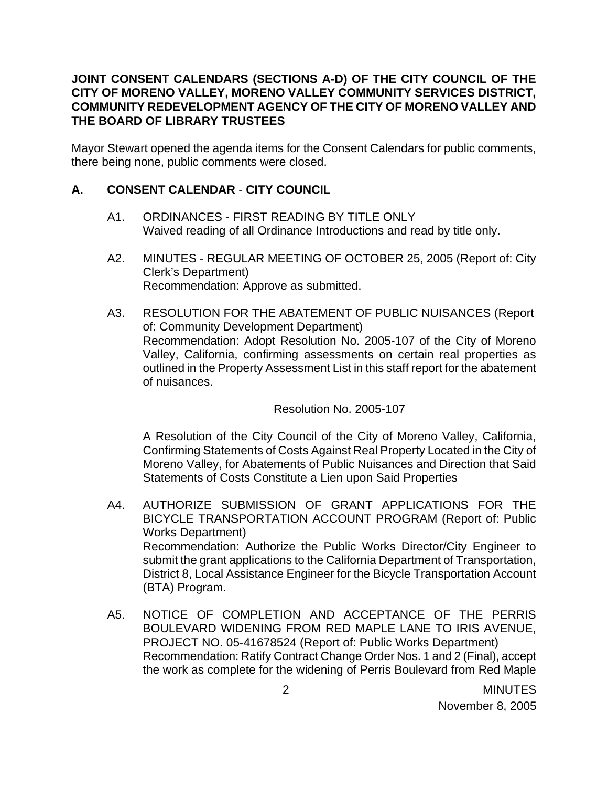### **JOINT CONSENT CALENDARS (SECTIONS A-D) OF THE CITY COUNCIL OF THE CITY OF MORENO VALLEY, MORENO VALLEY COMMUNITY SERVICES DISTRICT, COMMUNITY REDEVELOPMENT AGENCY OF THE CITY OF MORENO VALLEY AND THE BOARD OF LIBRARY TRUSTEES**

Mayor Stewart opened the agenda items for the Consent Calendars for public comments, there being none, public comments were closed.

## **A. CONSENT CALENDAR** - **CITY COUNCIL**

- A1. ORDINANCES FIRST READING BY TITLE ONLY Waived reading of all Ordinance Introductions and read by title only.
- A2. MINUTES REGULAR MEETING OF OCTOBER 25, 2005 (Report of: City Clerk's Department) Recommendation: Approve as submitted.
- A3. RESOLUTION FOR THE ABATEMENT OF PUBLIC NUISANCES (Report of: Community Development Department) Recommendation: Adopt Resolution No. 2005-107 of the City of Moreno Valley, California, confirming assessments on certain real properties as outlined in the Property Assessment List in this staff report for the abatement of nuisances.

Resolution No. 2005-107

A Resolution of the City Council of the City of Moreno Valley, California, Confirming Statements of Costs Against Real Property Located in the City of Moreno Valley, for Abatements of Public Nuisances and Direction that Said Statements of Costs Constitute a Lien upon Said Properties

- A4. AUTHORIZE SUBMISSION OF GRANT APPLICATIONS FOR THE BICYCLE TRANSPORTATION ACCOUNT PROGRAM (Report of: Public Works Department) Recommendation: Authorize the Public Works Director/City Engineer to submit the grant applications to the California Department of Transportation, District 8, Local Assistance Engineer for the Bicycle Transportation Account (BTA) Program.
- A5. NOTICE OF COMPLETION AND ACCEPTANCE OF THE PERRIS BOULEVARD WIDENING FROM RED MAPLE LANE TO IRIS AVENUE, PROJECT NO. 05-41678524 (Report of: Public Works Department) Recommendation: Ratify Contract Change Order Nos. 1 and 2 (Final), accept the work as complete for the widening of Perris Boulevard from Red Maple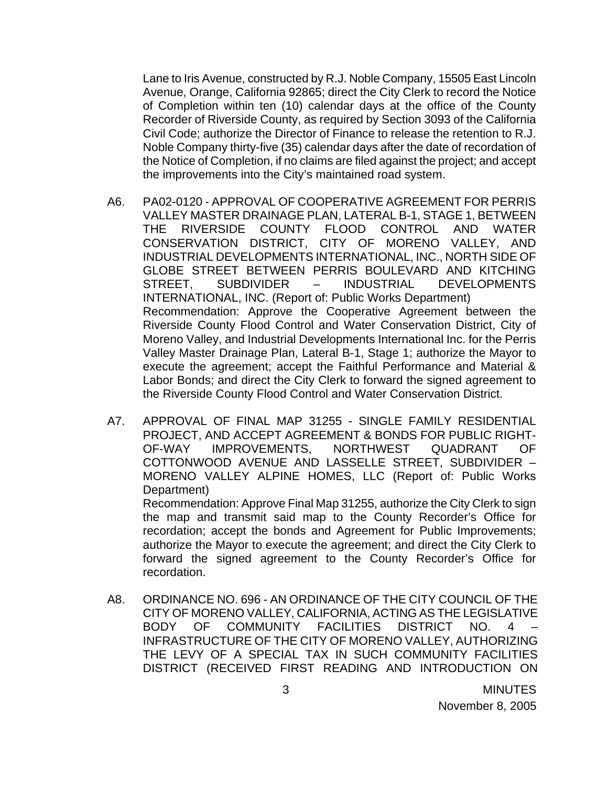Lane to Iris Avenue, constructed by R.J. Noble Company, 15505 East Lincoln Avenue, Orange, California 92865; direct the City Clerk to record the Notice of Completion within ten (10) calendar days at the office of the County Recorder of Riverside County, as required by Section 3093 of the California Civil Code; authorize the Director of Finance to release the retention to R.J. Noble Company thirty-five (35) calendar days after the date of recordation of the Notice of Completion, if no claims are filed against the project; and accept the improvements into the City's maintained road system.

- A6. PA02-0120 APPROVAL OF COOPERATIVE AGREEMENT FOR PERRIS VALLEY MASTER DRAINAGE PLAN, LATERAL B-1, STAGE 1, BETWEEN THE RIVERSIDE COUNTY FLOOD CONTROL AND WATER CONSERVATION DISTRICT, CITY OF MORENO VALLEY, AND INDUSTRIAL DEVELOPMENTS INTERNATIONAL, INC., NORTH SIDE OF GLOBE STREET BETWEEN PERRIS BOULEVARD AND KITCHING STREET, SUBDIVIDER – INDUSTRIAL DEVELOPMENTS INTERNATIONAL, INC. (Report of: Public Works Department) Recommendation: Approve the Cooperative Agreement between the Riverside County Flood Control and Water Conservation District, City of Moreno Valley, and Industrial Developments International Inc. for the Perris Valley Master Drainage Plan, Lateral B-1, Stage 1; authorize the Mayor to execute the agreement; accept the Faithful Performance and Material & Labor Bonds; and direct the City Clerk to forward the signed agreement to the Riverside County Flood Control and Water Conservation District.
- A7. APPROVAL OF FINAL MAP 31255 SINGLE FAMILY RESIDENTIAL PROJECT, AND ACCEPT AGREEMENT & BONDS FOR PUBLIC RIGHT-OF-WAY IMPROVEMENTS, NORTHWEST QUADRANT OF COTTONWOOD AVENUE AND LASSELLE STREET, SUBDIVIDER – MORENO VALLEY ALPINE HOMES, LLC (Report of: Public Works Department)

 Recommendation: Approve Final Map 31255, authorize the City Clerk to sign the map and transmit said map to the County Recorder's Office for recordation; accept the bonds and Agreement for Public Improvements; authorize the Mayor to execute the agreement; and direct the City Clerk to forward the signed agreement to the County Recorder's Office for recordation.

A8. ORDINANCE NO. 696 - AN ORDINANCE OF THE CITY COUNCIL OF THE CITY OF MORENO VALLEY, CALIFORNIA, ACTING AS THE LEGISLATIVE BODY OF COMMUNITY FACILITIES DISTRICT NO. 4 – INFRASTRUCTURE OF THE CITY OF MORENO VALLEY, AUTHORIZING THE LEVY OF A SPECIAL TAX IN SUCH COMMUNITY FACILITIES DISTRICT (RECEIVED FIRST READING AND INTRODUCTION ON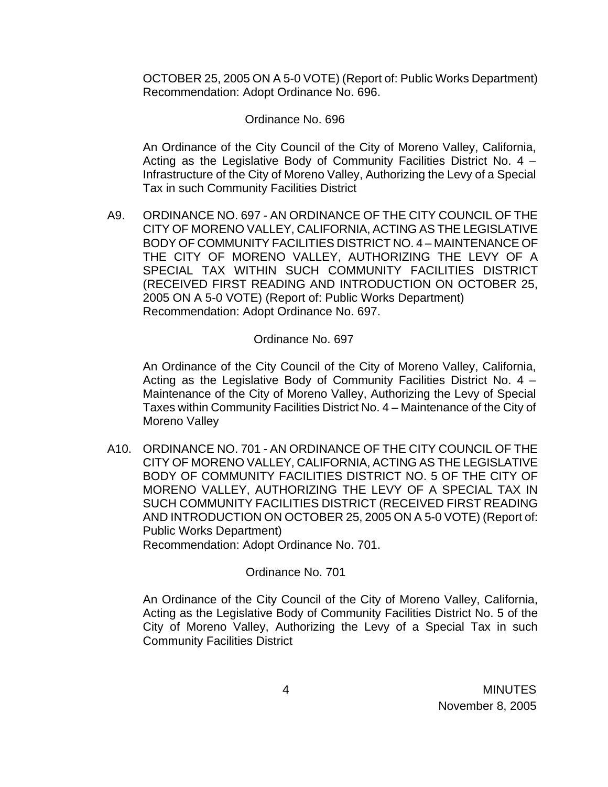OCTOBER 25, 2005 ON A 5-0 VOTE) (Report of: Public Works Department) Recommendation: Adopt Ordinance No. 696.

#### Ordinance No. 696

An Ordinance of the City Council of the City of Moreno Valley, California, Acting as the Legislative Body of Community Facilities District No. 4 – Infrastructure of the City of Moreno Valley, Authorizing the Levy of a Special Tax in such Community Facilities District

A9. ORDINANCE NO. 697 - AN ORDINANCE OF THE CITY COUNCIL OF THE CITY OF MORENO VALLEY, CALIFORNIA, ACTING AS THE LEGISLATIVE BODY OF COMMUNITY FACILITIES DISTRICT NO. 4 – MAINTENANCE OF THE CITY OF MORENO VALLEY, AUTHORIZING THE LEVY OF A SPECIAL TAX WITHIN SUCH COMMUNITY FACILITIES DISTRICT (RECEIVED FIRST READING AND INTRODUCTION ON OCTOBER 25, 2005 ON A 5-0 VOTE) (Report of: Public Works Department) Recommendation: Adopt Ordinance No. 697.

### Ordinance No. 697

 An Ordinance of the City Council of the City of Moreno Valley, California, Acting as the Legislative Body of Community Facilities District No. 4 – Maintenance of the City of Moreno Valley, Authorizing the Levy of Special Taxes within Community Facilities District No. 4 – Maintenance of the City of Moreno Valley

A10. ORDINANCE NO. 701 - AN ORDINANCE OF THE CITY COUNCIL OF THE CITY OF MORENO VALLEY, CALIFORNIA, ACTING AS THE LEGISLATIVE BODY OF COMMUNITY FACILITIES DISTRICT NO. 5 OF THE CITY OF MORENO VALLEY, AUTHORIZING THE LEVY OF A SPECIAL TAX IN SUCH COMMUNITY FACILITIES DISTRICT (RECEIVED FIRST READING AND INTRODUCTION ON OCTOBER 25, 2005 ON A 5-0 VOTE) (Report of: Public Works Department) Recommendation: Adopt Ordinance No. 701.

### Ordinance No. 701

An Ordinance of the City Council of the City of Moreno Valley, California, Acting as the Legislative Body of Community Facilities District No. 5 of the City of Moreno Valley, Authorizing the Levy of a Special Tax in such Community Facilities District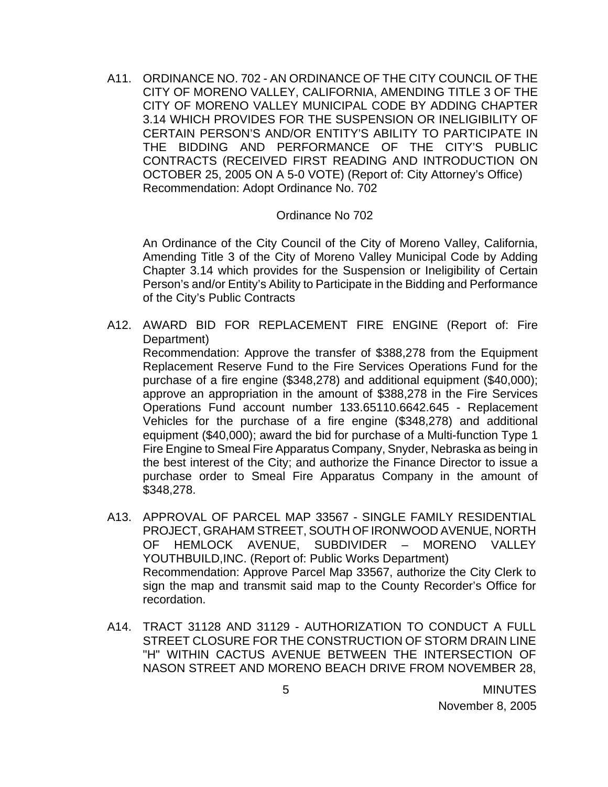A11. ORDINANCE NO. 702 - AN ORDINANCE OF THE CITY COUNCIL OF THE CITY OF MORENO VALLEY, CALIFORNIA, AMENDING TITLE 3 OF THE CITY OF MORENO VALLEY MUNICIPAL CODE BY ADDING CHAPTER 3.14 WHICH PROVIDES FOR THE SUSPENSION OR INELIGIBILITY OF CERTAIN PERSON'S AND/OR ENTITY'S ABILITY TO PARTICIPATE IN THE BIDDING AND PERFORMANCE OF THE CITY'S PUBLIC CONTRACTS (RECEIVED FIRST READING AND INTRODUCTION ON OCTOBER 25, 2005 ON A 5-0 VOTE) (Report of: City Attorney's Office) Recommendation: Adopt Ordinance No. 702

#### Ordinance No 702

An Ordinance of the City Council of the City of Moreno Valley, California, Amending Title 3 of the City of Moreno Valley Municipal Code by Adding Chapter 3.14 which provides for the Suspension or Ineligibility of Certain Person's and/or Entity's Ability to Participate in the Bidding and Performance of the City's Public Contracts

A12. AWARD BID FOR REPLACEMENT FIRE ENGINE (Report of: Fire Department)

 Recommendation: Approve the transfer of \$388,278 from the Equipment Replacement Reserve Fund to the Fire Services Operations Fund for the purchase of a fire engine (\$348,278) and additional equipment (\$40,000); approve an appropriation in the amount of \$388,278 in the Fire Services Operations Fund account number 133.65110.6642.645 - Replacement Vehicles for the purchase of a fire engine (\$348,278) and additional equipment (\$40,000); award the bid for purchase of a Multi-function Type 1 Fire Engine to Smeal Fire Apparatus Company, Snyder, Nebraska as being in the best interest of the City; and authorize the Finance Director to issue a purchase order to Smeal Fire Apparatus Company in the amount of \$348,278.

- A13. APPROVAL OF PARCEL MAP 33567 SINGLE FAMILY RESIDENTIAL PROJECT, GRAHAM STREET, SOUTH OF IRONWOOD AVENUE, NORTH OF HEMLOCK AVENUE, SUBDIVIDER – MORENO VALLEY YOUTHBUILD,INC. (Report of: Public Works Department) Recommendation: Approve Parcel Map 33567, authorize the City Clerk to sign the map and transmit said map to the County Recorder's Office for recordation.
- A14. TRACT 31128 AND 31129 AUTHORIZATION TO CONDUCT A FULL STREET CLOSURE FOR THE CONSTRUCTION OF STORM DRAIN LINE "H" WITHIN CACTUS AVENUE BETWEEN THE INTERSECTION OF NASON STREET AND MORENO BEACH DRIVE FROM NOVEMBER 28,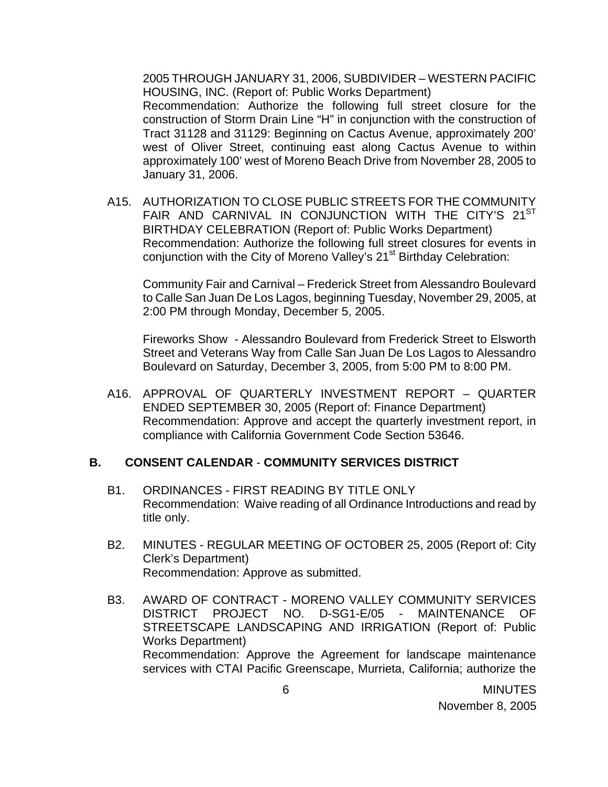2005 THROUGH JANUARY 31, 2006, SUBDIVIDER – WESTERN PACIFIC HOUSING, INC. (Report of: Public Works Department)

 Recommendation: Authorize the following full street closure for the construction of Storm Drain Line "H" in conjunction with the construction of Tract 31128 and 31129: Beginning on Cactus Avenue, approximately 200' west of Oliver Street, continuing east along Cactus Avenue to within approximately 100' west of Moreno Beach Drive from November 28, 2005 to January 31, 2006.

A15. AUTHORIZATION TO CLOSE PUBLIC STREETS FOR THE COMMUNITY FAIR AND CARNIVAL IN CONJUNCTION WITH THE CITY'S 21<sup>ST</sup> BIRTHDAY CELEBRATION (Report of: Public Works Department) Recommendation: Authorize the following full street closures for events in conjunction with the City of Moreno Valley's 21<sup>st</sup> Birthday Celebration:

 Community Fair and Carnival – Frederick Street from Alessandro Boulevard to Calle San Juan De Los Lagos, beginning Tuesday, November 29, 2005, at 2:00 PM through Monday, December 5, 2005.

 Fireworks Show - Alessandro Boulevard from Frederick Street to Elsworth Street and Veterans Way from Calle San Juan De Los Lagos to Alessandro Boulevard on Saturday, December 3, 2005, from 5:00 PM to 8:00 PM.

A16. APPROVAL OF QUARTERLY INVESTMENT REPORT – QUARTER ENDED SEPTEMBER 30, 2005 (Report of: Finance Department) Recommendation: Approve and accept the quarterly investment report, in compliance with California Government Code Section 53646.

### **B. CONSENT CALENDAR** - **COMMUNITY SERVICES DISTRICT**

- B1. ORDINANCES FIRST READING BY TITLE ONLY Recommendation: Waive reading of all Ordinance Introductions and read by title only.
- B2. MINUTES REGULAR MEETING OF OCTOBER 25, 2005 (Report of: City Clerk's Department) Recommendation: Approve as submitted.
- B3. AWARD OF CONTRACT MORENO VALLEY COMMUNITY SERVICES DISTRICT PROJECT NO. D-SG1-E/05 - MAINTENANCE OF STREETSCAPE LANDSCAPING AND IRRIGATION (Report of: Public Works Department) Recommendation: Approve the Agreement for landscape maintenance services with CTAI Pacific Greenscape, Murrieta, California; authorize the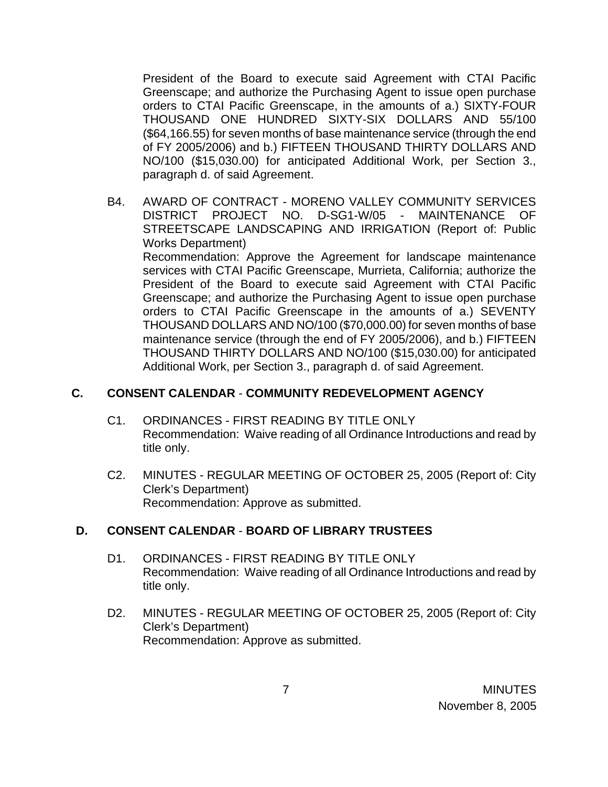President of the Board to execute said Agreement with CTAI Pacific Greenscape; and authorize the Purchasing Agent to issue open purchase orders to CTAI Pacific Greenscape, in the amounts of a.) SIXTY-FOUR THOUSAND ONE HUNDRED SIXTY-SIX DOLLARS AND 55/100 (\$64,166.55) for seven months of base maintenance service (through the end of FY 2005/2006) and b.) FIFTEEN THOUSAND THIRTY DOLLARS AND NO/100 (\$15,030.00) for anticipated Additional Work, per Section 3., paragraph d. of said Agreement.

B4. AWARD OF CONTRACT - MORENO VALLEY COMMUNITY SERVICES DISTRICT PROJECT NO. D-SG1-W/05 - MAINTENANCE OF STREETSCAPE LANDSCAPING AND IRRIGATION (Report of: Public Works Department) Recommendation: Approve the Agreement for landscape maintenance services with CTAI Pacific Greenscape, Murrieta, California; authorize the

President of the Board to execute said Agreement with CTAI Pacific Greenscape; and authorize the Purchasing Agent to issue open purchase orders to CTAI Pacific Greenscape in the amounts of a.) SEVENTY THOUSAND DOLLARS AND NO/100 (\$70,000.00) for seven months of base maintenance service (through the end of FY 2005/2006), and b.) FIFTEEN THOUSAND THIRTY DOLLARS AND NO/100 (\$15,030.00) for anticipated Additional Work, per Section 3., paragraph d. of said Agreement.

# **C. CONSENT CALENDAR** - **COMMUNITY REDEVELOPMENT AGENCY**

- C1. ORDINANCES FIRST READING BY TITLE ONLY Recommendation: Waive reading of all Ordinance Introductions and read by title only.
- C2. MINUTES REGULAR MEETING OF OCTOBER 25, 2005 (Report of: City Clerk's Department) Recommendation: Approve as submitted.

## **D. CONSENT CALENDAR** - **BOARD OF LIBRARY TRUSTEES**

- D1. ORDINANCES FIRST READING BY TITLE ONLY Recommendation: Waive reading of all Ordinance Introductions and read by title only.
- D2. MINUTES REGULAR MEETING OF OCTOBER 25, 2005 (Report of: City Clerk's Department) Recommendation: Approve as submitted.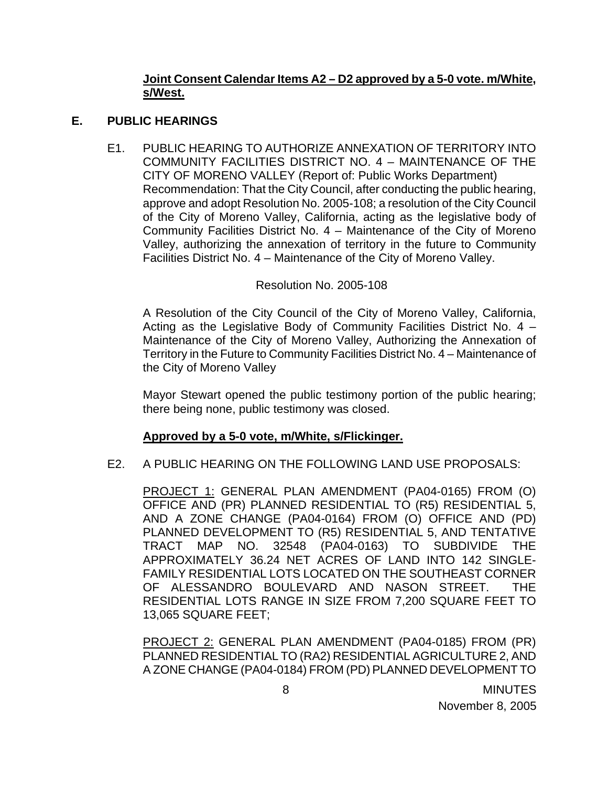## **Joint Consent Calendar Items A2 – D2 approved by a 5-0 vote. m/White, s/West.**

### **E. PUBLIC HEARINGS**

E1. PUBLIC HEARING TO AUTHORIZE ANNEXATION OF TERRITORY INTO COMMUNITY FACILITIES DISTRICT NO. 4 – MAINTENANCE OF THE CITY OF MORENO VALLEY (Report of: Public Works Department) Recommendation: That the City Council, after conducting the public hearing, approve and adopt Resolution No. 2005-108; a resolution of the City Council of the City of Moreno Valley, California, acting as the legislative body of Community Facilities District No. 4 – Maintenance of the City of Moreno Valley, authorizing the annexation of territory in the future to Community Facilities District No. 4 – Maintenance of the City of Moreno Valley.

### Resolution No. 2005-108

A Resolution of the City Council of the City of Moreno Valley, California, Acting as the Legislative Body of Community Facilities District No. 4 – Maintenance of the City of Moreno Valley, Authorizing the Annexation of Territory in the Future to Community Facilities District No. 4 – Maintenance of the City of Moreno Valley

 Mayor Stewart opened the public testimony portion of the public hearing; there being none, public testimony was closed.

## **Approved by a 5-0 vote, m/White, s/Flickinger.**

### E2. A PUBLIC HEARING ON THE FOLLOWING LAND USE PROPOSALS:

PROJECT 1: GENERAL PLAN AMENDMENT (PA04-0165) FROM (O) OFFICE AND (PR) PLANNED RESIDENTIAL TO (R5) RESIDENTIAL 5, AND A ZONE CHANGE (PA04-0164) FROM (O) OFFICE AND (PD) PLANNED DEVELOPMENT TO (R5) RESIDENTIAL 5, AND TENTATIVE TRACT MAP NO. 32548 (PA04-0163) TO SUBDIVIDE THE APPROXIMATELY 36.24 NET ACRES OF LAND INTO 142 SINGLE-FAMILY RESIDENTIAL LOTS LOCATED ON THE SOUTHEAST CORNER OF ALESSANDRO BOULEVARD AND NASON STREET. THE RESIDENTIAL LOTS RANGE IN SIZE FROM 7,200 SQUARE FEET TO 13,065 SQUARE FEET;

PROJECT 2: GENERAL PLAN AMENDMENT (PA04-0185) FROM (PR) PLANNED RESIDENTIAL TO (RA2) RESIDENTIAL AGRICULTURE 2, AND A ZONE CHANGE (PA04-0184) FROM (PD) PLANNED DEVELOPMENT TO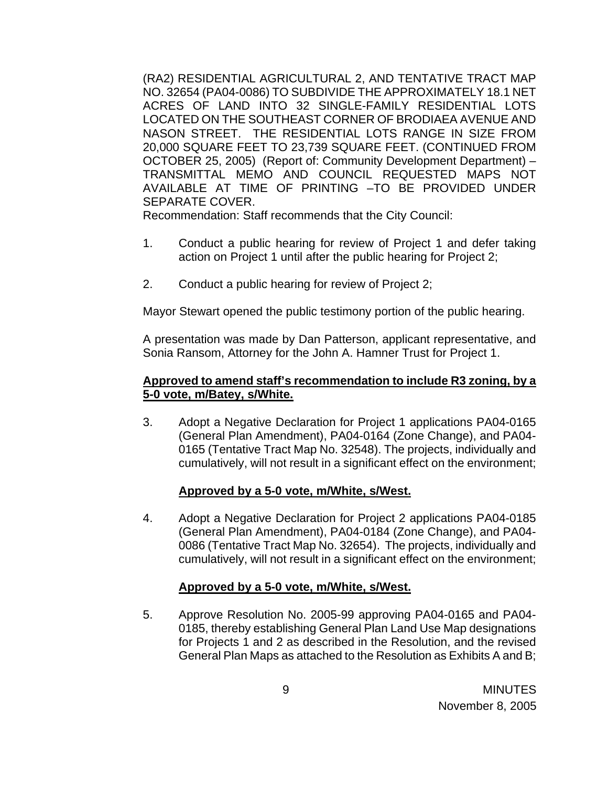(RA2) RESIDENTIAL AGRICULTURAL 2, AND TENTATIVE TRACT MAP NO. 32654 (PA04-0086) TO SUBDIVIDE THE APPROXIMATELY 18.1 NET ACRES OF LAND INTO 32 SINGLE-FAMILY RESIDENTIAL LOTS LOCATED ON THE SOUTHEAST CORNER OF BRODIAEA AVENUE AND NASON STREET. THE RESIDENTIAL LOTS RANGE IN SIZE FROM 20,000 SQUARE FEET TO 23,739 SQUARE FEET. (CONTINUED FROM OCTOBER 25, 2005) (Report of: Community Development Department) – TRANSMITTAL MEMO AND COUNCIL REQUESTED MAPS NOT AVAILABLE AT TIME OF PRINTING –TO BE PROVIDED UNDER SEPARATE COVER.

Recommendation: Staff recommends that the City Council:

- 1. Conduct a public hearing for review of Project 1 and defer taking action on Project 1 until after the public hearing for Project 2;
- 2. Conduct a public hearing for review of Project 2;

Mayor Stewart opened the public testimony portion of the public hearing.

A presentation was made by Dan Patterson, applicant representative, and Sonia Ransom, Attorney for the John A. Hamner Trust for Project 1.

### **Approved to amend staff's recommendation to include R3 zoning, by a 5-0 vote, m/Batey, s/White.**

3. Adopt a Negative Declaration for Project 1 applications PA04-0165 (General Plan Amendment), PA04-0164 (Zone Change), and PA04- 0165 (Tentative Tract Map No. 32548). The projects, individually and cumulatively, will not result in a significant effect on the environment;

## **Approved by a 5-0 vote, m/White, s/West.**

4. Adopt a Negative Declaration for Project 2 applications PA04-0185 (General Plan Amendment), PA04-0184 (Zone Change), and PA04- 0086 (Tentative Tract Map No. 32654). The projects, individually and cumulatively, will not result in a significant effect on the environment;

## **Approved by a 5-0 vote, m/White, s/West.**

5. Approve Resolution No. 2005-99 approving PA04-0165 and PA04- 0185, thereby establishing General Plan Land Use Map designations for Projects 1 and 2 as described in the Resolution, and the revised General Plan Maps as attached to the Resolution as Exhibits A and B;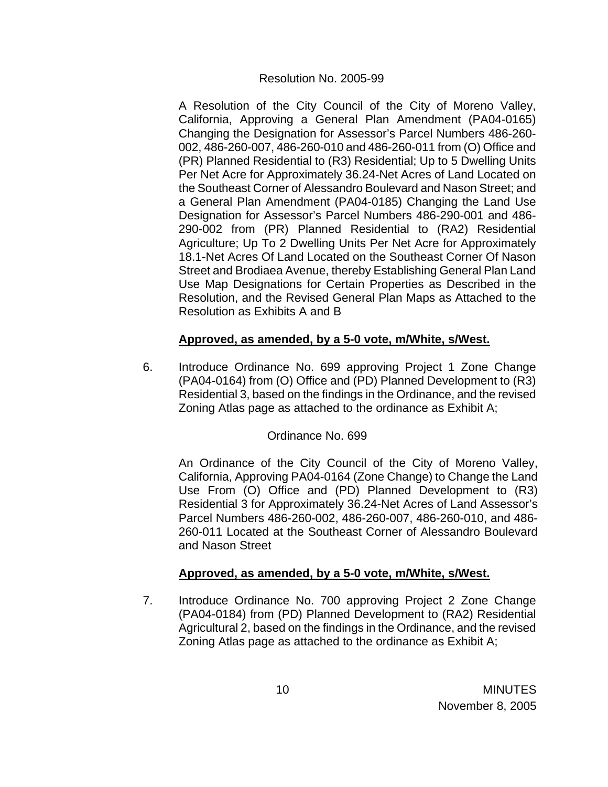#### Resolution No. 2005-99

 A Resolution of the City Council of the City of Moreno Valley, California, Approving a General Plan Amendment (PA04-0165) Changing the Designation for Assessor's Parcel Numbers 486-260- 002, 486-260-007, 486-260-010 and 486-260-011 from (O) Office and (PR) Planned Residential to (R3) Residential; Up to 5 Dwelling Units Per Net Acre for Approximately 36.24-Net Acres of Land Located on the Southeast Corner of Alessandro Boulevard and Nason Street; and a General Plan Amendment (PA04-0185) Changing the Land Use Designation for Assessor's Parcel Numbers 486-290-001 and 486- 290-002 from (PR) Planned Residential to (RA2) Residential Agriculture; Up To 2 Dwelling Units Per Net Acre for Approximately 18.1-Net Acres Of Land Located on the Southeast Corner Of Nason Street and Brodiaea Avenue, thereby Establishing General Plan Land Use Map Designations for Certain Properties as Described in the Resolution, and the Revised General Plan Maps as Attached to the Resolution as Exhibits A and B

## **Approved, as amended, by a 5-0 vote, m/White, s/West.**

 6. Introduce Ordinance No. 699 approving Project 1 Zone Change (PA04-0164) from (O) Office and (PD) Planned Development to (R3) Residential 3, based on the findings in the Ordinance, and the revised Zoning Atlas page as attached to the ordinance as Exhibit A;

## Ordinance No. 699

An Ordinance of the City Council of the City of Moreno Valley, California, Approving PA04-0164 (Zone Change) to Change the Land Use From (O) Office and (PD) Planned Development to (R3) Residential 3 for Approximately 36.24-Net Acres of Land Assessor's Parcel Numbers 486-260-002, 486-260-007, 486-260-010, and 486- 260-011 Located at the Southeast Corner of Alessandro Boulevard and Nason Street

## **Approved, as amended, by a 5-0 vote, m/White, s/West.**

 7. Introduce Ordinance No. 700 approving Project 2 Zone Change (PA04-0184) from (PD) Planned Development to (RA2) Residential Agricultural 2, based on the findings in the Ordinance, and the revised Zoning Atlas page as attached to the ordinance as Exhibit A;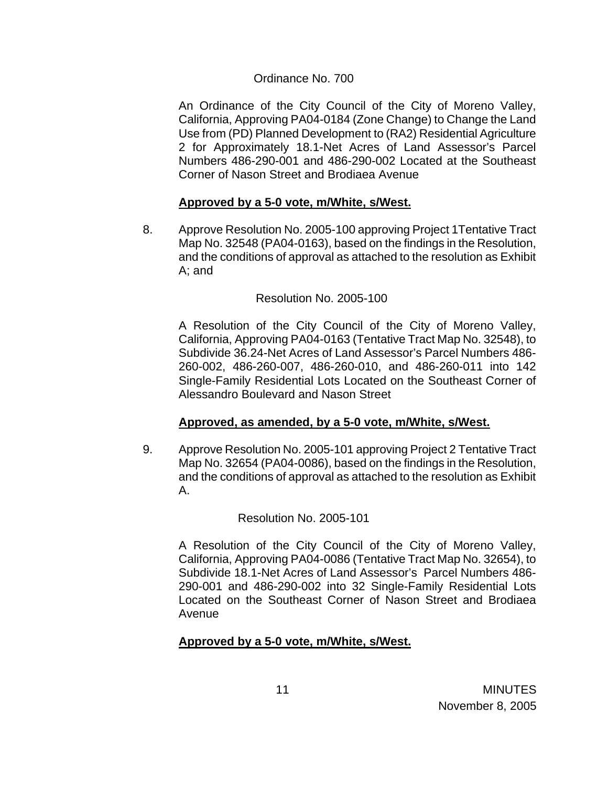#### Ordinance No. 700

An Ordinance of the City Council of the City of Moreno Valley, California, Approving PA04-0184 (Zone Change) to Change the Land Use from (PD) Planned Development to (RA2) Residential Agriculture 2 for Approximately 18.1-Net Acres of Land Assessor's Parcel Numbers 486-290-001 and 486-290-002 Located at the Southeast Corner of Nason Street and Brodiaea Avenue

### **Approved by a 5-0 vote, m/White, s/West.**

8. Approve Resolution No. 2005-100 approving Project 1Tentative Tract Map No. 32548 (PA04-0163), based on the findings in the Resolution, and the conditions of approval as attached to the resolution as Exhibit A; and

### Resolution No. 2005-100

 A Resolution of the City Council of the City of Moreno Valley, California, Approving PA04-0163 (Tentative Tract Map No. 32548), to Subdivide 36.24-Net Acres of Land Assessor's Parcel Numbers 486- 260-002, 486-260-007, 486-260-010, and 486-260-011 into 142 Single-Family Residential Lots Located on the Southeast Corner of Alessandro Boulevard and Nason Street

### **Approved, as amended, by a 5-0 vote, m/White, s/West.**

9. Approve Resolution No. 2005-101 approving Project 2 Tentative Tract Map No. 32654 (PA04-0086), based on the findings in the Resolution, and the conditions of approval as attached to the resolution as Exhibit A.

Resolution No. 2005-101

A Resolution of the City Council of the City of Moreno Valley, California, Approving PA04-0086 (Tentative Tract Map No. 32654), to Subdivide 18.1-Net Acres of Land Assessor's Parcel Numbers 486- 290-001 and 486-290-002 into 32 Single-Family Residential Lots Located on the Southeast Corner of Nason Street and Brodiaea Avenue

### **Approved by a 5-0 vote, m/White, s/West.**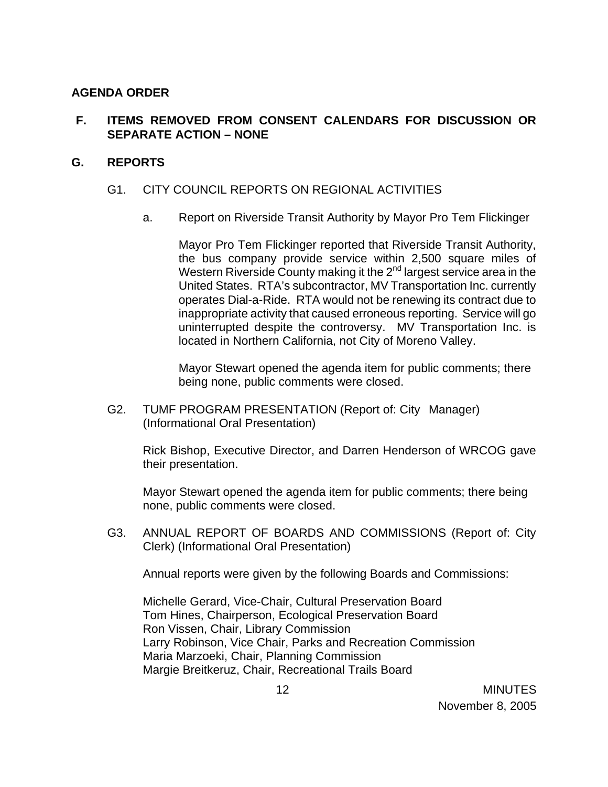### **AGENDA ORDER**

## **F. ITEMS REMOVED FROM CONSENT CALENDARS FOR DISCUSSION OR SEPARATE ACTION – NONE**

### **G. REPORTS**

### G1. CITY COUNCIL REPORTS ON REGIONAL ACTIVITIES

a. Report on Riverside Transit Authority by Mayor Pro Tem Flickinger

Mayor Pro Tem Flickinger reported that Riverside Transit Authority, the bus company provide service within 2,500 square miles of Western Riverside County making it the  $2<sup>nd</sup>$  largest service area in the United States. RTA's subcontractor, MV Transportation Inc. currently operates Dial-a-Ride. RTA would not be renewing its contract due to inappropriate activity that caused erroneous reporting. Service will go uninterrupted despite the controversy. MV Transportation Inc. is located in Northern California, not City of Moreno Valley.

Mayor Stewart opened the agenda item for public comments; there being none, public comments were closed.

G2. TUMF PROGRAM PRESENTATION (Report of: City Manager) (Informational Oral Presentation)

Rick Bishop, Executive Director, and Darren Henderson of WRCOG gave their presentation.

Mayor Stewart opened the agenda item for public comments; there being none, public comments were closed.

G3. ANNUAL REPORT OF BOARDS AND COMMISSIONS (Report of: City Clerk) (Informational Oral Presentation)

Annual reports were given by the following Boards and Commissions:

Michelle Gerard, Vice-Chair, Cultural Preservation Board Tom Hines, Chairperson, Ecological Preservation Board Ron Vissen, Chair, Library Commission Larry Robinson, Vice Chair, Parks and Recreation Commission Maria Marzoeki, Chair, Planning Commission Margie Breitkeruz, Chair, Recreational Trails Board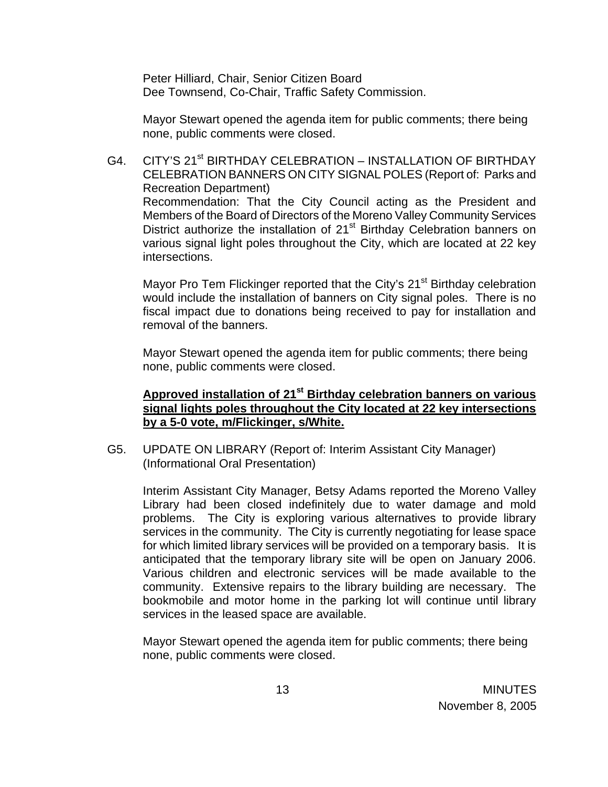Peter Hilliard, Chair, Senior Citizen Board Dee Townsend, Co-Chair, Traffic Safety Commission.

Mayor Stewart opened the agenda item for public comments; there being none, public comments were closed.

G4. CITY'S 21<sup>st</sup> BIRTHDAY CELEBRATION – INSTALLATION OF BIRTHDAY CELEBRATION BANNERS ON CITY SIGNAL POLES (Report of: Parks and Recreation Department) Recommendation: That the City Council acting as the President and Members of the Board of Directors of the Moreno Valley Community Services District authorize the installation of  $21<sup>st</sup>$  Birthday Celebration banners on various signal light poles throughout the City, which are located at 22 key intersections.

Mayor Pro Tem Flickinger reported that the City's 21<sup>st</sup> Birthday celebration would include the installation of banners on City signal poles. There is no fiscal impact due to donations being received to pay for installation and removal of the banners.

Mayor Stewart opened the agenda item for public comments; there being none, public comments were closed.

### **Approved installation of 21st Birthday celebration banners on various signal lights poles throughout the City located at 22 key intersections by a 5-0 vote, m/Flickinger, s/White.**

G5. UPDATE ON LIBRARY (Report of: Interim Assistant City Manager) (Informational Oral Presentation)

Interim Assistant City Manager, Betsy Adams reported the Moreno Valley Library had been closed indefinitely due to water damage and mold problems. The City is exploring various alternatives to provide library services in the community. The City is currently negotiating for lease space for which limited library services will be provided on a temporary basis. It is anticipated that the temporary library site will be open on January 2006. Various children and electronic services will be made available to the community. Extensive repairs to the library building are necessary. The bookmobile and motor home in the parking lot will continue until library services in the leased space are available.

Mayor Stewart opened the agenda item for public comments; there being none, public comments were closed.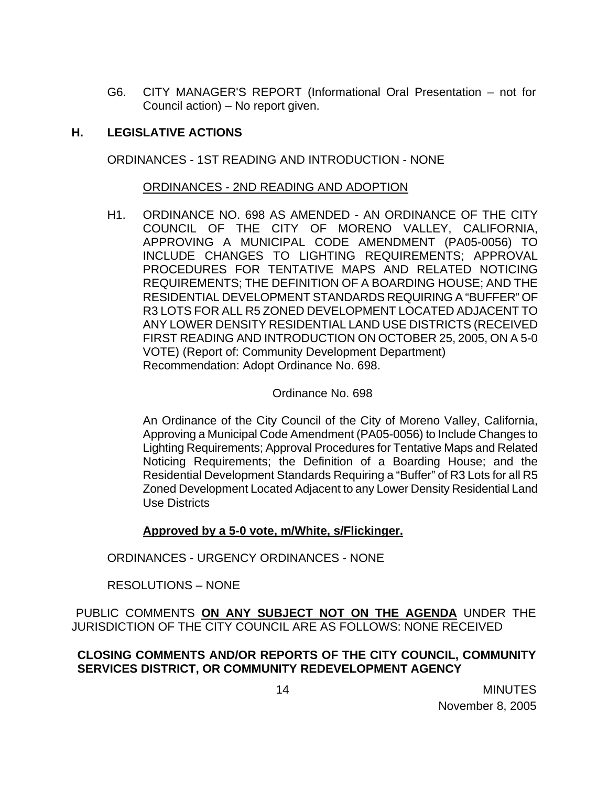G6. CITY MANAGER'S REPORT (Informational Oral Presentation – not for Council action) – No report given.

## **H. LEGISLATIVE ACTIONS**

ORDINANCES - 1ST READING AND INTRODUCTION - NONE

### ORDINANCES - 2ND READING AND ADOPTION

H1. ORDINANCE NO. 698 AS AMENDED - AN ORDINANCE OF THE CITY COUNCIL OF THE CITY OF MORENO VALLEY, CALIFORNIA, APPROVING A MUNICIPAL CODE AMENDMENT (PA05-0056) TO INCLUDE CHANGES TO LIGHTING REQUIREMENTS; APPROVAL PROCEDURES FOR TENTATIVE MAPS AND RELATED NOTICING REQUIREMENTS; THE DEFINITION OF A BOARDING HOUSE; AND THE RESIDENTIAL DEVELOPMENT STANDARDS REQUIRING A "BUFFER" OF R3 LOTS FOR ALL R5 ZONED DEVELOPMENT LOCATED ADJACENT TO ANY LOWER DENSITY RESIDENTIAL LAND USE DISTRICTS (RECEIVED FIRST READING AND INTRODUCTION ON OCTOBER 25, 2005, ON A 5-0 VOTE) (Report of: Community Development Department) Recommendation: Adopt Ordinance No. 698.

#### Ordinance No. 698

An Ordinance of the City Council of the City of Moreno Valley, California, Approving a Municipal Code Amendment (PA05-0056) to Include Changes to Lighting Requirements; Approval Procedures for Tentative Maps and Related Noticing Requirements; the Definition of a Boarding House; and the Residential Development Standards Requiring a "Buffer" of R3 Lots for all R5 Zoned Development Located Adjacent to any Lower Density Residential Land Use Districts

### **Approved by a 5-0 vote, m/White, s/Flickinger.**

ORDINANCES - URGENCY ORDINANCES - NONE

RESOLUTIONS – NONE

PUBLIC COMMENTS **ON ANY SUBJECT NOT ON THE AGENDA** UNDER THE JURISDICTION OF THE CITY COUNCIL ARE AS FOLLOWS: NONE RECEIVED

**CLOSING COMMENTS AND/OR REPORTS OF THE CITY COUNCIL, COMMUNITY SERVICES DISTRICT, OR COMMUNITY REDEVELOPMENT AGENCY**